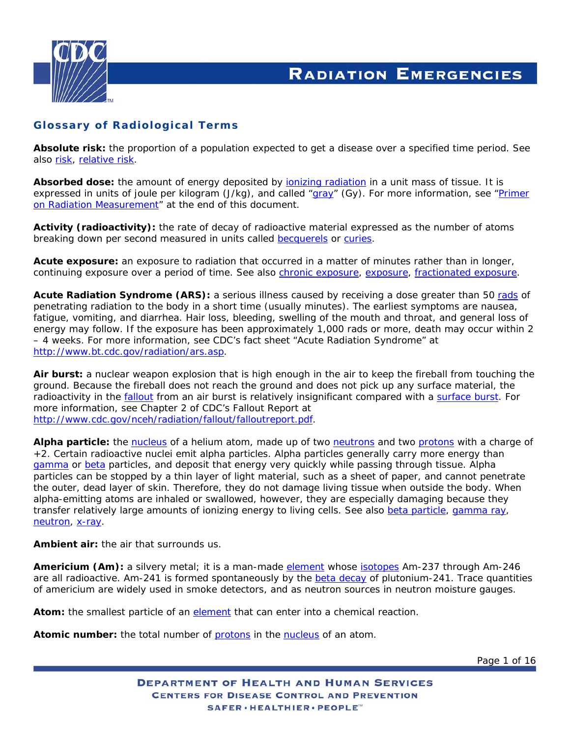<span id="page-0-0"></span>

**Absolute risk:** the proportion of a population expected to get a disease over a specified time period. *See also* [risk,](#page-10-0) [relative risk](#page-10-0).

Absorbed dose: the amount of energy deposited by **jonizing radiation** in a unit mass of tissue. It is expressed in units of joule per kilogram (J/kg), and called ["gray](#page-5-0)" (Gy). *For more information, see* "[Primer](#page-13-0)  [on Radiation Measurement"](#page-13-0) *at the end of this document.*

**Activity (radioactivity):** the rate of decay of radioactive material expressed as the number of atoms breaking down per second measured in units called [becquerels](#page-1-0) or [curies](#page-2-0).

**Acute exposure:** an exposure to radiation that occurred in a matter of minutes rather than in longer, continuing exposure over a period of time. *See also* [chronic exposure](#page-1-0), [exposure,](#page-4-0) [fractionated exposure](#page-5-0).

**Acute Radiation Syndrome (ARS):** a serious illness caused by receiving a dose greater than 50 [rads](#page-8-0) of penetrating radiation to the body in a short time (usually minutes). The earliest symptoms are nausea, fatigue, vomiting, and diarrhea. Hair loss, bleeding, swelling of the mouth and throat, and general loss of energy may follow. If the exposure has been approximately 1,000 rads or more, death may occur within 2 – 4 weeks. *For more information, see CDC's fact sheet* "Acute Radiation Syndrome" *at* [http://www.bt.cdc.gov/radiation/ars.asp.](http://www.bt.cdc.gov/radiation/ars.asp)

**Air burst:** a nuclear weapon explosion that is high enough in the air to keep the fireball from touching the ground. Because the fireball does not reach the ground and does not pick up any surface material, the radioactivity in the [fallout](#page-4-0) from an air burst is relatively insignificant compared with a [surface burst.](#page-11-0) *For more information, see Chapter 2 of CDC's Fallout Report at*  <http://www.cdc.gov/nceh/radiation/fallout/falloutreport.pdf>.

**Alpha particle:** the [nucleus](#page-7-0) of a helium atom, made up of two [neutrons](#page-7-0) and two [protons](#page-8-0) with a charge of +2. Certain radioactive nuclei emit alpha particles. Alpha particles generally carry more energy than [gamma](#page-5-0) or [beta](#page-1-0) particles, and deposit that energy very quickly while passing through tissue. Alpha particles can be stopped by a thin layer of light material, such as a sheet of paper, and cannot penetrate the outer, dead layer of skin. Therefore, they do not damage living tissue when outside the body. When alpha-emitting atoms are inhaled or swallowed, however, they are especially damaging because they transfer relatively large amounts of ionizing energy to living cells. *See also* [beta particle](#page-1-0), [gamma ray,](#page-5-0) [neutron](#page-7-0), [x-ray](#page-12-0).

**Ambient air:** the air that surrounds us.

**Americium (Am):** a silvery metal; it is a man-made [element](#page-4-0) whose [isotopes](#page-6-0) Am-237 through Am-246 are all radioactive. Am-241 is formed spontaneously by the [beta decay](#page-1-0) of plutonium-241. Trace quantities of americium are widely used in smoke detectors, and as neutron sources in neutron moisture gauges.

Atom: the smallest particle of an [element](#page-4-0) that can enter into a chemical reaction.

Atomic number: the total number of **[protons](#page-8-0)** in the [nucleus](#page-7-0) of an atom.

Page 1 of 16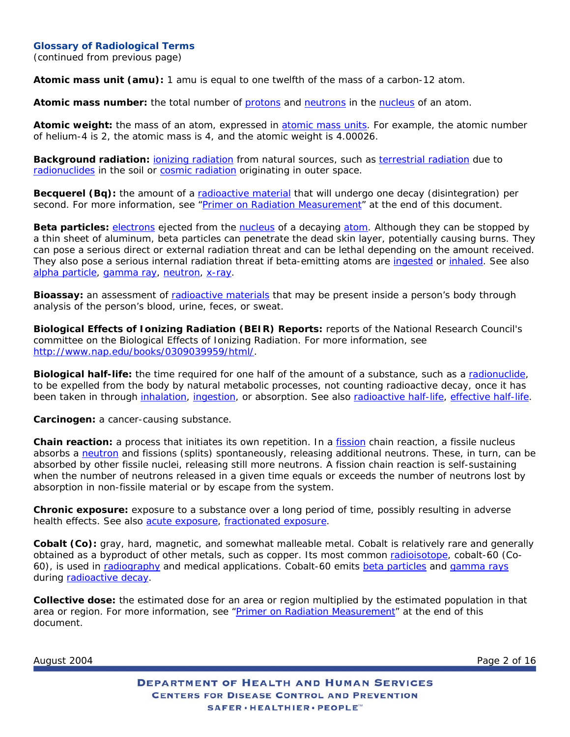<span id="page-1-0"></span>(continued from previous page)

**Atomic mass unit (amu):** 1 amu is equal to one twelfth of the mass of a carbon-12 atom.

**Atomic mass number:** the total number of [protons](#page-8-0) and [neutrons](#page-7-0) in the [nucleus](#page-7-0) of an atom.

**Atomic weight:** the mass of an atom, expressed in [atomic mass units](#page-1-0). For example, the atomic number of helium-4 is 2, the atomic mass is 4, and the atomic weight is 4.00026.

**Background radiation:** [ionizing radiation](#page-6-0) from natural sources, such as [terrestrial radiation](#page-11-0) due to [radionuclides](#page-10-0) in the soil or [cosmic radiation](#page-2-0) originating in outer space.

**Becquerel (Bq):** the amount of a [radioactive material](#page-9-0) that will undergo one decay (disintegration) per second. *For more information, see* ["Primer on Radiation Measurement"](#page-13-0) *at the end of this document*.

**Beta particles:** [electrons](#page-4-0) ejected from the [nucleus](#page-7-0) of a decaying [atom](#page-0-0). Although they can be stopped by a thin sheet of aluminum, beta particles can penetrate the dead skin layer, potentially causing burns. They can pose a serious direct or external radiation threat and can be lethal depending on the amount received. They also pose a serious internal radiation threat if beta-emitting atoms are [ingested](#page-5-0) or [inhaled.](#page-5-0) *See also* [alpha particle,](#page-0-0) [gamma ray,](#page-5-0) [neutron,](#page-7-0) [x-ray.](#page-12-0)

**Bioassay:** an assessment of [radioactive materials](#page-9-0) that may be present inside a person's body through analysis of the person's blood, urine, feces, or sweat.

**Biological Effects of Ionizing Radiation (BEIR) Reports:** reports of the National Research Council's committee on the Biological Effects of Ionizing Radiation. *For more information, see* [http://www.nap.edu/books/0309039959/html/.](http://www.nap.edu/books/0309039959/html/)

**Biological half-life:** the time required for one half of the amount of a substance, such as a [radionuclide,](#page-10-0) to be expelled from the body by natural metabolic processes, not counting radioactive decay, once it has been taken in through [inhalation](#page-5-0), [ingestion](#page-5-0), or absorption. *See also* [radioactive half-life,](#page-9-0) [effective half-life](#page-4-0).

**Carcinogen:** a cancer-causing substance.

**Chain reaction:** a process that initiates its own repetition. In a fission chain reaction, a fissile nucleus absorbs a neutron and fissions (splits) spontaneously, releasing additional neutrons. These, in turn, can be absorbed by other fissile nuclei, releasing still more neutrons. A fission chain reaction is self-sustaining when the number of neutrons released in a given time equals or exceeds the number of neutrons lost by absorption in non-fissile material or by escape from the system.

**Chronic exposure:** exposure to a substance over a long period of time, possibly resulting in adverse health effects. *See also* [acute exposure](#page-0-0), [fractionated exposure.](#page-5-0)

**Cobalt (Co):** gray, hard, magnetic, and somewhat malleable metal. Cobalt is relatively rare and generally obtained as a byproduct of other metals, such as copper. Its most common [radioisotope](#page-9-0), cobalt-60 (Co-60), is used in [radiography](#page-9-0) and medical applications. Cobalt-60 emits [beta particles](#page-1-0) and [gamma rays](#page-5-0) during [radioactive decay.](#page-3-0)

**Collective dose:** the estimated dose for an area or region multiplied by the estimated population in that area or region. *For more information, see* "[Primer on Radiation Measurement"](#page-13-0) *at the end of this document*.

August 2004 **Page 2 of 16** Page 2 of 16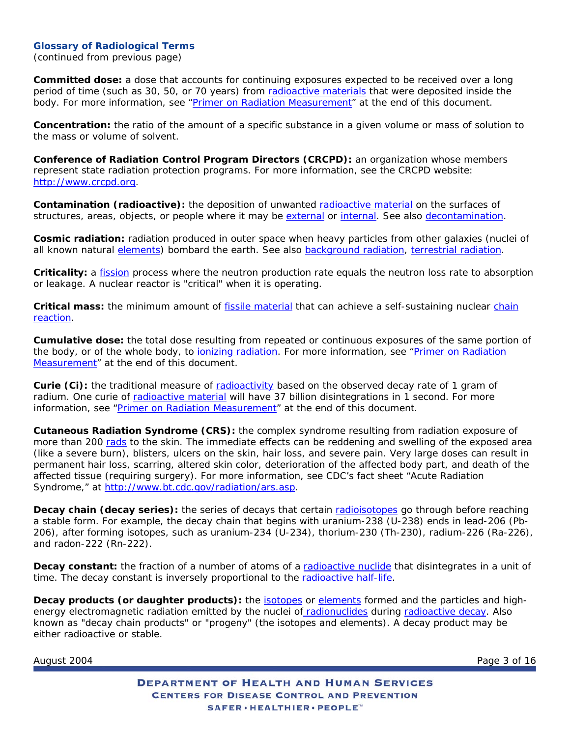<span id="page-2-0"></span>(continued from previous page)

**Committed dose:** a dose that accounts for continuing exposures expected to be received over a long period of time (such as 30, 50, or 70 years) from [radioactive materials](#page-9-0) that were deposited inside the body. *For more information, see* "[Primer on Radiation Measurement"](#page-13-0) *at the end of this document*.

**Concentration:** the ratio of the amount of a specific substance in a given volume or mass of solution to the mass or volume of solvent.

**Conference of Radiation Control Program Directors (CRCPD):** an organization whose members represent state radiation protection programs. *For more information, see the CRCPD website:* [http://www.crcpd.org.](http://www.crcpd.org/)

Contamination (radioactive): the deposition of unwanted [radioactive material](#page-9-0) on the surfaces of structures, areas, objects, or people where it may be [external](#page-4-0) or [internal](#page-6-0). *See also* [decontamination.](#page-3-0)

**Cosmic radiation:** radiation produced in outer space when heavy particles from other galaxies (nuclei of all known natural [elements](#page-4-0)) bombard the earth. *See also* [background radiation](#page-1-0), [terrestrial radiation.](#page-11-0)

**Criticality:** a [fission](#page-4-0) process where the neutron production rate equals the neutron loss rate to absorption or leakage. A nuclear reactor is "critical" when it is operating.

**Critical mass:** the minimum amount of [fissile material](#page-4-0) that can achieve a self-sustaining nuclear [chain](#page-1-0)  [reaction](#page-1-0).

**Cumulative dose:** the total dose resulting from repeated or continuous exposures of the same portion of the body, or of the whole body, to [ionizing radiation](#page-6-0). *For more information, see* "[Primer on Radiation](#page-13-0) [Measurement](#page-13-0)" *at the end of this document*.

**Curie (Ci):** the traditional measure of [radioactivity](#page-9-0) based on the observed decay rate of 1 gram of radium. One curie of [radioactive material](#page-9-0) will have 37 billion disintegrations in 1 second. *For more information, see* ["Primer on Radiation Measurement](#page-13-0)" *at the end of this document*.

**Cutaneous Radiation Syndrome (CRS):** the complex syndrome resulting from radiation exposure of more than 200 [rads](#page-8-0) to the skin. The immediate effects can be reddening and swelling of the exposed area (like a severe burn), blisters, ulcers on the skin, hair loss, and severe pain. Very large doses can result in permanent hair loss, scarring, altered skin color, deterioration of the affected body part, and death of the affected tissue (requiring surgery). *For more information, see CDC's fact sheet* "Acute Radiation Syndrome," *at* <http://www.bt.cdc.gov/radiation/ars.asp>.

**Decay chain (decay series):** the series of decays that certain [radioisotopes](#page-9-0) go through before reaching a stable form. For example, the decay chain that begins with uranium-238 (U-238) ends in lead-206 (Pb-206), after forming isotopes, such as uranium-234 (U-234), thorium-230 (Th-230), radium-226 (Ra-226), and radon-222 (Rn-222).

**Decay constant:** the fraction of a number of atoms of a [radioactive nuclide](#page-10-0) that disintegrates in a unit of time. The decay constant is inversely proportional to the [radioactive half-life](#page-9-0).

**Decay products (or daughter products):** the [isotopes](#page-6-0) or [elements](#page-4-0) formed and the particles and highenergy electromagnetic radiation emitted by the nuclei of [radionuclides](#page-10-0) during [radioactive decay](#page-3-0). Also known as "decay chain products" or "progeny" (the isotopes and elements). A decay product may be either radioactive or stable.

August 2004 **Page 3 of 16** Page 3 of 16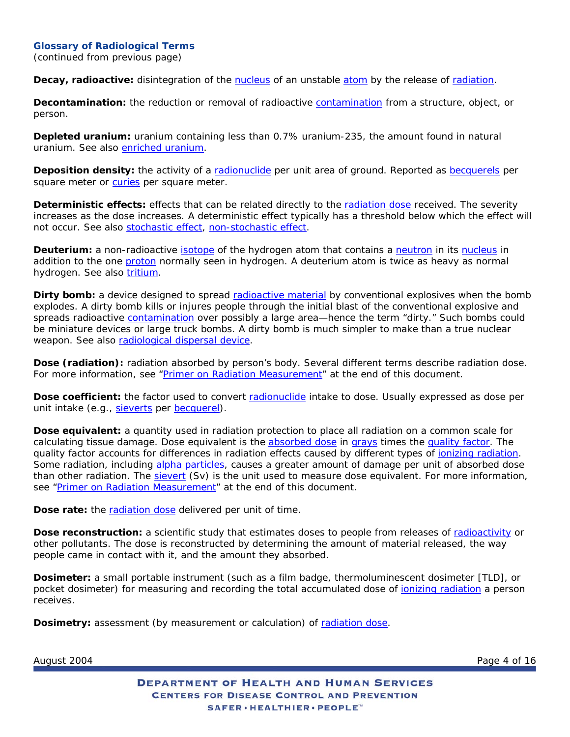<span id="page-3-0"></span>(continued from previous page)

**Decay, radioactive:** disintegration of the [nucleus](#page-7-0) of an unstable [atom](#page-0-0) by the release of [radiation.](#page-9-0)

**Decontamination:** the reduction or removal of radioactive [contamination](#page-2-0) from a structure, object, or person.

**Depleted uranium:** uranium containing less than 0.7% uranium-235, the amount found in natural uranium. *See also* [enriched uranium.](#page-4-0)

**Deposition density:** the activity of a [radionuclide](#page-10-0) per unit area of ground. Reported as [becquerels](#page-1-0) per square meter or [curies](#page-2-0) per square meter.

**Deterministic effects:** effects that can be related directly to the [radiation dose](#page-3-0) received. The severity increases as the dose increases. A deterministic effect typically has a threshold below which the effect will not occur. *See also* [stochastic effect](#page-11-0), [non-stochastic effect](#page-7-0).

**Deuterium:** a non-radioactive *isotope* of the hydrogen atom that contains a [neutron](#page-7-0) in its [nucleus](#page-7-0) in addition to the one [proton](#page-8-0) normally seen in hydrogen. A deuterium atom is twice as heavy as normal hydrogen. *See also* [tritium.](#page-11-0)

**Dirty bomb:** a device designed to spread [radioactive material](#page-9-0) by conventional explosives when the bomb explodes. A dirty bomb kills or injures people through the initial blast of the conventional explosive and spreads radioactive **contamination** over possibly a large area—hence the term "dirty." Such bombs could be miniature devices or large truck bombs. A dirty bomb is much simpler to make than a true nuclear weapon. *See also* [radiological dispersal device](#page-9-0).

**Dose (radiation):** radiation absorbed by person's body. Several different terms describe radiation dose. *For more information, see* ["Primer on Radiation Measurement](#page-13-0)" *at the end of this document*.

**Dose coefficient:** the factor used to convert [radionuclide](#page-10-0) intake to dose. Usually expressed as dose per unit intake (e.g., [sieverts](#page-10-0) per [becquerel\)](#page-1-0).

**Dose equivalent:** a quantity used in radiation protection to place all radiation on a common scale for calculating tissue damage. Dose equivalent is the [absorbed dose](#page-0-0) in [grays](#page-5-0) times the [quality factor](#page-8-0). The quality factor accounts for differences in radiation effects caused by different types of [ionizing radiation.](#page-6-0) Some radiation, including [alpha particles](#page-0-0), causes a greater amount of damage per unit of absorbed dose than other radiation. The [sievert](#page-10-0) (Sv) is the unit used to measure dose equivalent. *For more information, see* ["Primer on Radiation Measurement](#page-13-0)" *at the end of this document*.

**Dose rate:** the [radiation dose](#page-3-0) delivered per unit of time.

**Dose reconstruction:** a scientific study that estimates doses to people from releases of [radioactivity](#page-9-0) or other pollutants. The dose is reconstructed by determining the amount of material released, the way people came in contact with it, and the amount they absorbed.

**Dosimeter:** a small portable instrument (such as a film badge, thermoluminescent dosimeter [TLD], or pocket dosimeter) for measuring and recording the total accumulated dose of [ionizing radiation](#page-6-0) a person receives.

**Dosimetry:** assessment (by measurement or calculation) of [radiation dose](#page-3-0).

August 2004 **Page 4 of 16** Page 4 of 16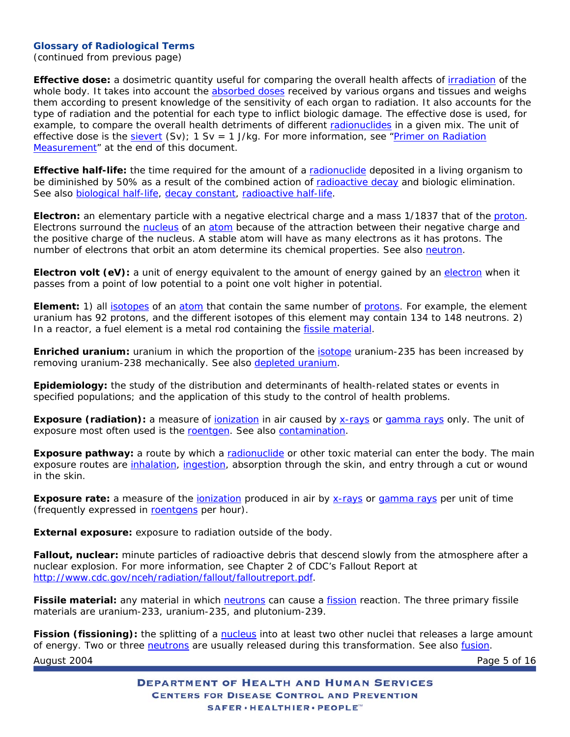<span id="page-4-0"></span>(continued from previous page)

**Effective dose:** a dosimetric quantity useful for comparing the overall health affects of [irradiation](#page-6-0) of the whole body. It takes into account the **absorbed doses** received by various organs and tissues and weighs them according to present knowledge of the sensitivity of each organ to radiation. It also accounts for the type of radiation and the potential for each type to inflict biologic damage. The effective dose is used, for example, to compare the overall health detriments of different [radionuclides](#page-10-0) in a given mix. The unit of effective dose is the [sievert](#page-10-0) (Sv); 1 Sv = 1 J/kg. *For more information, see* ["Primer on Radiation](#page-13-0) [Measurement](#page-13-0)" *at the end of this document*.

**Effective half-life:** the time required for the amount of a [radionuclide](#page-10-0) deposited in a living organism to be diminished by 50% as a result of the combined action of [radioactive decay](#page-3-0) and biologic elimination. *See also* [biological half-life](#page-1-0), [decay constant](#page-2-0), [radioactive half-life](#page-9-0).

**Electron:** an elementary particle with a negative electrical charge and a mass 1/1837 that of the [proton.](#page-8-0) Electrons surround the [nucleus](#page-7-0) of an [atom](#page-0-0) because of the attraction between their negative charge and the positive charge of the nucleus. A stable atom will have as many electrons as it has protons. The number of electrons that orbit an atom determine its chemical properties. *See also* [neutron.](#page-7-0)

**Electron volt (eV):** a unit of energy equivalent to the amount of energy gained by an [electron](#page-4-0) when it passes from a point of low potential to a point one volt higher in potential.

**Element:** 1) all [isotopes](#page-6-0) of an [atom](#page-0-0) that contain the same number of [protons.](#page-8-0) For example, the element uranium has 92 protons, and the different isotopes of this element may contain 134 to 148 neutrons. 2) In a reactor, a fuel element is a metal rod containing the [fissile material](#page-4-0).

**Enriched uranium:** uranium in which the proportion of the *isotope* uranium-235 has been increased by removing uranium-238 mechanically. *See also* [depleted uranium.](#page-3-0)

**Epidemiology:** the study of the distribution and determinants of health-related states or events in specified populations; and the application of this study to the control of health problems.

**Exposure (radiation):** a measure of *ionization* in air caused by [x-rays](#page-12-0) or [gamma rays](#page-5-0) only. The unit of exposure most often used is the [roentgen.](#page-10-0) *See also* [contamination](#page-2-0).

**Exposure pathway:** a route by which a [radionuclide](#page-10-0) or other toxic material can enter the body. The main exposure routes are [inhalation,](#page-5-0) [ingestion](#page-5-0), absorption through the skin, and entry through a cut or wound in the skin.

**Exposure rate:** a measure of the [ionization](#page-6-0) produced in air by [x-rays](#page-12-0) or [gamma rays](#page-5-0) per unit of time (frequently expressed in [roentgens](#page-10-0) per hour).

**External exposure:** exposure to radiation outside of the body.

**Fallout, nuclear:** minute particles of radioactive debris that descend slowly from the atmosphere after a nuclear explosion. *For more information, see Chapter 2 of CDC's Fallout Report at* <http://www.cdc.gov/nceh/radiation/fallout/falloutreport.pdf>.

**Fissile material:** any material in which [neutrons](#page-7-0) can cause a [fission](#page-4-0) reaction. The three primary fissile materials are uranium-233, uranium-235, and plutonium-239.

August 2004 **Page 5 of 16** Fission (fissioning): the splitting of a [nucleus](#page-7-0) into at least two other nuclei that releases a large amount of energy. Two or three [neutrons](#page-7-0) are usually released during this transformation. *See also* [fusion.](#page-5-0)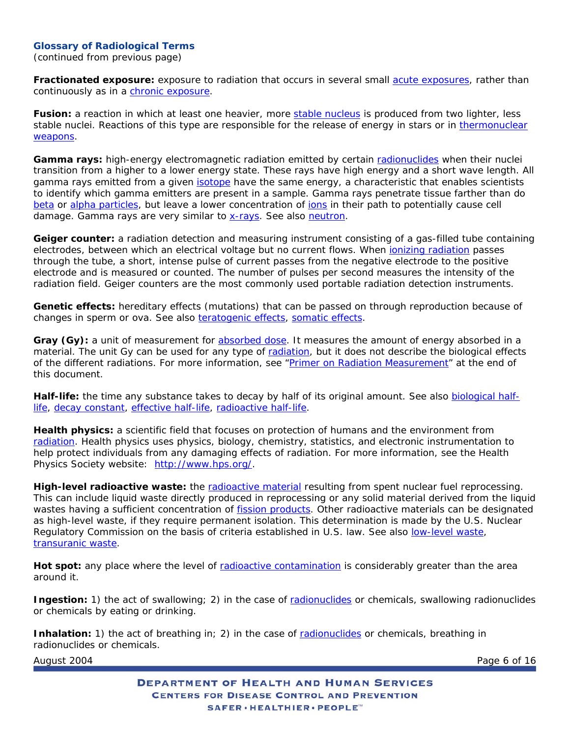<span id="page-5-0"></span>(continued from previous page)

**Fractionated exposure:** exposure to radiation that occurs in several small [acute exposures](#page-0-0), rather than continuously as in a [chronic exposure](#page-1-0).

**Fusion:** a reaction in which at least one heavier, more [stable nucleus](#page-11-0) is produced from two lighter, less stable nuclei. Reactions of this type are responsible for the release of energy in stars or in [thermonuclear](#page-11-0)  [weapons.](#page-11-0)

**Gamma rays:** high-energy electromagnetic radiation emitted by certain [radionuclides](#page-10-0) when their nuclei transition from a higher to a lower energy state. These rays have high energy and a short wave length. All gamma rays emitted from a given [isotope](#page-6-0) have the same energy, a characteristic that enables scientists to identify which gamma emitters are present in a sample. Gamma rays penetrate tissue farther than do [beta](#page-1-0) or [alpha particles,](#page-0-0) but leave a lower concentration of jons in their path to potentially cause cell damage. Gamma rays are very similar to [x-rays.](#page-12-0) *See also* [neutron.](#page-7-0)

**Geiger counter:** a radiation detection and measuring instrument consisting of a gas-filled tube containing electrodes, between which an electrical voltage but no current flows. When *ionizing radiation* passes through the tube, a short, intense pulse of current passes from the negative electrode to the positive electrode and is measured or counted. The number of pulses per second measures the intensity of the radiation field. Geiger counters are the most commonly used portable radiation detection instruments.

**Genetic effects:** hereditary effects (mutations) that can be passed on through reproduction because of changes in sperm or ova. *See also* [teratogenic effects,](#page-11-0) [somatic effects](#page-11-0).

Gray (Gy): a unit of measurement for [absorbed dose.](#page-0-0) It measures the amount of energy absorbed in a material. The unit Gy can be used for any type of [radiation,](#page-9-0) but it does not describe the biological effects of the different radiations. *For more information, see* "[Primer on Radiation Measurement"](#page-13-0) *at the end of this document*.

**Half-life:** the time any substance takes to decay by half of its original amount. *See also* [biological half](#page-1-0)[life,](#page-1-0) [decay constant,](#page-2-0) [effective half-life](#page-4-0), [radioactive half-life](#page-9-0).

**Health physics:** a scientific field that focuses on protection of humans and the environment from [radiation](#page-9-0). Health physics uses physics, biology, chemistry, statistics, and electronic instrumentation to help protect individuals from any damaging effects of radiation. *For more information, see the Health Physics Society website:* [http://www.hps.org/.](http://www.hps.org/)

**High-level radioactive waste:** the [radioactive material](#page-9-0) resulting from spent nuclear fuel reprocessing. This can include liquid waste directly produced in reprocessing or any solid material derived from the liquid wastes having a sufficient concentration of [fission products.](#page-4-0) Other radioactive materials can be designated as high-level waste, if they require permanent isolation. This determination is made by the U.S. Nuclear Regulatory Commission on the basis of criteria established in U.S. law. *See also* [low-level waste,](#page-6-0) [transuranic waste](#page-11-0).

Hot spot: any place where the level of [radioactive contamination](#page-2-0) is considerably greater than the area around it.

**Ingestion:** 1) the act of swallowing; 2) in the case of [radionuclides](#page-10-0) or chemicals, swallowing radionuclides or chemicals by eating or drinking.

**Inhalation:** 1) the act of breathing in; 2) in the case of [radionuclides](#page-10-0) or chemicals, breathing in radionuclides or chemicals.

August 2004 **Page 6 of 16**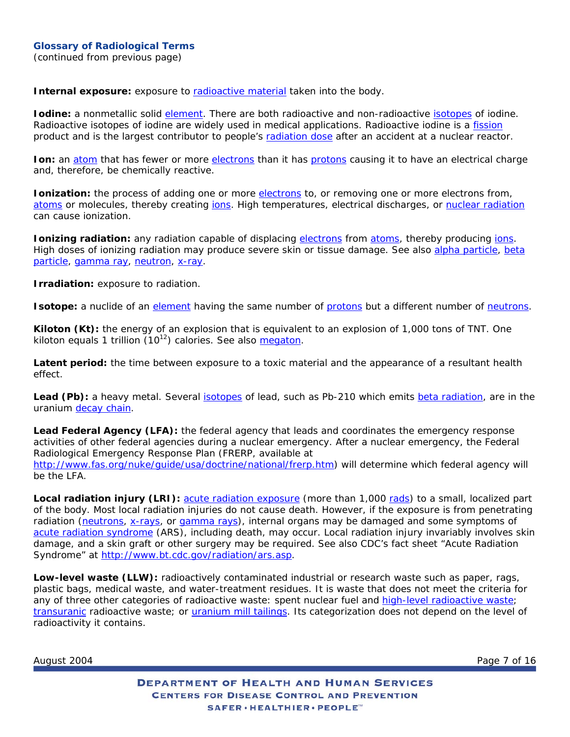<span id="page-6-0"></span>**Internal exposure:** exposure to [radioactive material](#page-9-0) taken into the body.

**Iodine:** a nonmetallic solid [element.](#page-4-0) There are both radioactive and non-radioactive [isotopes](#page-6-0) of iodine. Radioactive isotopes of iodine are widely used in medical applications. Radioactive iodine is a [fission](#page-4-0) product and is the largest contributor to people's [radiation dose](#page-3-0) after an accident at a nuclear reactor.

**Ion:** an [atom](#page-0-0) that has fewer or more [electrons](#page-4-0) than it has [protons](#page-8-0) causing it to have an electrical charge and, therefore, be chemically reactive.

**Ionization:** the process of adding one or more [electrons](#page-4-0) to, or removing one or more electrons from, [atoms](#page-0-0) or molecules, thereby creating jons. High temperatures, electrical discharges, or [nuclear radiation](#page-9-0) can cause ionization.

**Ionizing radiation:** any radiation capable of displacing [electrons](#page-4-0) from [atoms](#page-0-0), thereby producing [ions.](#page-6-0) High doses of ionizing radiation may produce severe skin or tissue damage. *See also* [alpha particle,](#page-0-0) [beta](#page-1-0)  [particle](#page-1-0), [gamma ray,](#page-5-0) [neutron,](#page-7-0) [x-ray.](#page-12-0)

**Irradiation:** exposure to radiation.

**Isotope:** a nuclide of an [element](#page-4-0) having the same number of [protons](#page-8-0) but a different number of [neutrons](#page-7-0).

**Kiloton (Kt):** the energy of an explosion that is equivalent to an explosion of 1,000 tons of TNT. One kiloton equals 1 trillion (1012) calories. *See also* [megaton](#page-7-0).

**Latent period:** the time between exposure to a toxic material and the appearance of a resultant health effect.

**Lead (Pb):** a heavy metal. Several [isotopes](#page-6-0) of lead, such as Pb-210 which emits [beta radiation,](#page-1-0) are in the uranium [decay chain.](#page-2-0)

**Lead Federal Agency (LFA):** the federal agency that leads and coordinates the emergency response activities of other federal agencies during a nuclear emergency. After a nuclear emergency, the Federal Radiological Emergency Response Plan (FRERP, available at [http://www.fas.org/nuke/guide/usa/doctrine/national/frerp.htm\)](http://www.fas.org/nuke/guide/usa/doctrine/national/frerp.htm) will determine which federal agency will be the LFA.

**Local radiation injury (LRI):** [acute radiation exposure](#page-0-0) (more than 1,000 [rads](#page-8-0)) to a small, localized part of the body. Most local radiation injuries do not cause death. However, if the exposure is from penetrating radiation [\(neutrons,](#page-7-0) [x-rays,](#page-12-0) or [gamma rays\)](#page-5-0), internal organs may be damaged and some symptoms of [acute radiation syndrome](#page-0-0) (ARS), including death, may occur. Local radiation injury invariably involves skin damage, and a skin graft or other surgery may be required. *See also CDC's fact sheet "Acute Radiation Syndrome" at* <http://www.bt.cdc.gov/radiation/ars.asp>.

**Low-level waste (LLW):** radioactively contaminated industrial or research waste such as paper, rags, plastic bags, medical waste, and water-treatment residues. It is waste that does not meet the criteria for any of three other categories of radioactive waste: spent nuclear fuel and [high-level radioactive waste;](#page-5-0) [transuranic](#page-11-0) radioactive waste; or [uranium mill tailings.](#page-12-0) Its categorization does not depend on the level of radioactivity it contains.

August 2004 **Page 7 of 16** Page 7 of 16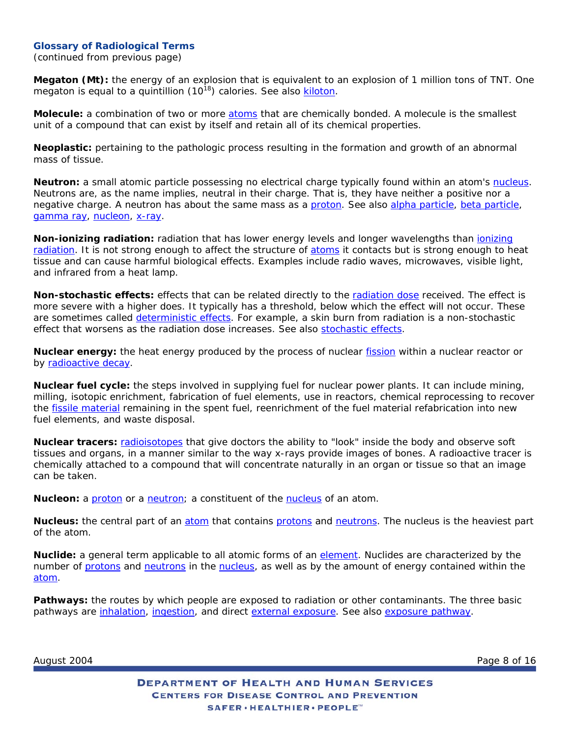<span id="page-7-0"></span>(continued from previous page)

**Megaton (Mt):** the energy of an explosion that is equivalent to an explosion of 1 million tons of TNT. One megaton is equal to a quintillion (1018) calories. *See also* [kiloton](#page-6-0).

**Molecule:** a combination of two or more [atoms](#page-0-0) that are chemically bonded. A molecule is the smallest unit of a compound that can exist by itself and retain all of its chemical properties.

**Neoplastic:** pertaining to the pathologic process resulting in the formation and growth of an abnormal mass of tissue.

**Neutron:** a small atomic particle possessing no electrical charge typically found within an atom's [nucleus](#page-7-0). Neutrons are, as the name implies, neutral in their charge. That is, they have neither a positive nor a negative charge. A neutron has about the same mass as a [proton.](#page-8-0) *See also* [alpha particle,](#page-0-0) [beta particle,](#page-1-0) [gamma ray](#page-5-0), [nucleon](#page-7-0), [x-ray](#page-12-0).

**Non-ionizing radiation:** radiation that has lower energy levels and longer wavelengths than [ionizing](#page-6-0)  [radiation](#page-6-0). It is not strong enough to affect the structure of [atoms](#page-0-0) it contacts but is strong enough to heat tissue and can cause harmful biological effects. Examples include radio waves, microwaves, visible light, and infrared from a heat lamp.

**Non-stochastic effects:** effects that can be related directly to the [radiation dose](#page-3-0) received. The effect is more severe with a higher does. It typically has a threshold, below which the effect will not occur. These are sometimes called [deterministic effects.](#page-3-0) For example, a skin burn from radiation is a non-stochastic effect that worsens as the radiation dose increases. *See also* [stochastic effects.](#page-11-0)

**Nuclear energy:** the heat energy produced by the process of nuclear [fission](#page-4-0) within a nuclear reactor or by [radioactive decay.](#page-3-0)

**Nuclear fuel cycle:** the steps involved in supplying fuel for nuclear power plants. It can include mining, milling, isotopic enrichment, fabrication of fuel elements, use in reactors, chemical reprocessing to recover the [fissile material](#page-4-0) remaining in the spent fuel, reenrichment of the fuel material refabrication into new fuel elements, and waste disposal.

**Nuclear tracers:** [radioisotopes](#page-9-0) that give doctors the ability to "look" inside the body and observe soft tissues and organs, in a manner similar to the way x-rays provide images of bones. A radioactive tracer is chemically attached to a compound that will concentrate naturally in an organ or tissue so that an image can be taken.

**Nucleon:** a [proton](#page-8-0) or a [neutron;](#page-7-0) a constituent of the [nucleus](#page-7-0) of an atom.

Nucleus: the central part of an [atom](#page-0-0) that contains [protons](#page-8-0) and [neutrons](#page-7-0). The nucleus is the heaviest part of the atom.

**Nuclide:** a general term applicable to all atomic forms of an [element.](#page-4-0) Nuclides are characterized by the number of [protons](#page-8-0) and [neutrons](#page-7-0) in the [nucleus,](#page-7-0) as well as by the amount of energy contained within the [atom.](#page-0-0)

**Pathways:** the routes by which people are exposed to radiation or other contaminants. The three basic pathways are [inhalation](#page-5-0), [ingestion](#page-5-0), and direct [external exposure.](#page-4-0) *See also* [exposure pathway.](#page-4-0)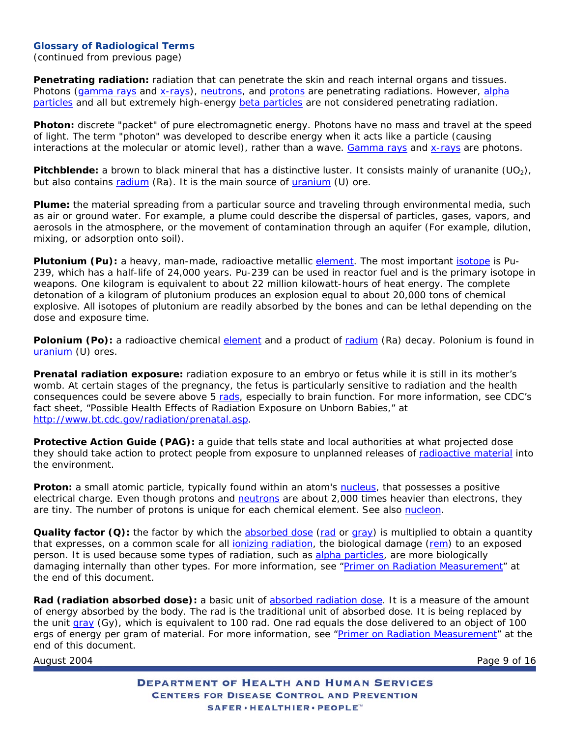<span id="page-8-0"></span>(continued from previous page)

**Penetrating radiation:** radiation that can penetrate the skin and reach internal organs and tissues. Photons [\(gamma rays](#page-5-0) and [x-rays](#page-12-0)), [neutrons](#page-7-0), and [protons](#page-8-0) are penetrating radiations. However, alpha [particles](#page-0-0) and all but extremely high-energy [beta particles](#page-1-0) are not considered penetrating radiation.

**Photon:** discrete "packet" of pure electromagnetic energy. Photons have no mass and travel at the speed of light. The term "photon" was developed to describe energy when it acts like a particle (causing interactions at the molecular or atomic level), rather than a wave. [Gamma rays](#page-5-0) and [x-rays](#page-12-0) are photons.

**Pitchblende:** a brown to black mineral that has a distinctive luster. It consists mainly of urananite (UO<sub>2</sub>), but also contains [radium](#page-10-0) (Ra). It is the main source of [uranium](#page-12-0) (U) ore.

**Plume:** the material spreading from a particular source and traveling through environmental media, such as air or ground water. For example, a plume could describe the dispersal of particles, gases, vapors, and aerosols in the atmosphere, or the movement of contamination through an aquifer (For example, dilution, mixing, or adsorption onto soil).

Plutonium (Pu): a heavy, man-made, radioactive metallic [element](#page-4-0). The most important [isotope](#page-6-0) is Pu-239, which has a half-life of 24,000 years. Pu-239 can be used in reactor fuel and is the primary isotope in weapons. One kilogram is equivalent to about 22 million kilowatt-hours of heat energy. The complete detonation of a kilogram of plutonium produces an explosion equal to about 20,000 tons of chemical explosive. All isotopes of plutonium are readily absorbed by the bones and can be lethal depending on the dose and exposure time.

**Polonium (Po):** a radioactive chemical [element](#page-4-0) and a product of [radium](#page-10-0) (Ra) decay. Polonium is found in [uranium](#page-12-0) (U) ores.

**Prenatal radiation exposure:** radiation exposure to an embryo or fetus while it is still in its mother's womb. At certain stages of the pregnancy, the fetus is particularly sensitive to radiation and the health consequences could be severe above 5 [rads](#page-8-0), especially to brain function. *For more information, see CDC's fact sheet,* "Possible Health Effects of Radiation Exposure on Unborn Babies," *at* [http://www.bt.cdc.gov/radiation/prenatal.asp.](http://www.bt.cdc.gov/radiation/prenatal.asp)

**Protective Action Guide (PAG):** a guide that tells state and local authorities at what projected dose they should take action to protect people from exposure to unplanned releases of [radioactive material](#page-9-0) into the environment.

**Proton:** a small atomic particle, typically found within an atom's [nucleus](#page-7-0), that possesses a positive electrical charge. Even though protons and [neutrons](#page-7-0) are about 2,000 times heavier than electrons, they are tiny. The number of protons is unique for each chemical element. *See also* [nucleon](#page-7-0).

**Quality factor (Q):** the factor by which the [absorbed dose](#page-0-0) [\(rad](#page-8-0) or [gray\)](#page-5-0) is multiplied to obtain a quantity that expresses, on a common scale for all [ionizing radiation](#page-6-0), the biological damage ([rem\)](#page-10-0) to an exposed person. It is used because some types of radiation, such as [alpha particles](#page-0-0), are more biologically damaging internally than other types. *For more information, see* ["Primer on Radiation Measurement"](#page-13-0) *at the end of this document*.

**Rad (radiation absorbed dose):** a basic unit of [absorbed radiation dose.](#page-0-0) It is a measure of the amount of energy absorbed by the body. The rad is the traditional unit of absorbed dose. It is being replaced by the unit [gray](#page-5-0) (Gy), which is equivalent to 100 rad. One rad equals the dose delivered to an object of 100 ergs of energy per gram of material. *For more information, see* ["Primer on Radiation Measurement](#page-13-0)" *at the end of this document*.

August 2004 **Page 9 of 16** Page 9 of 16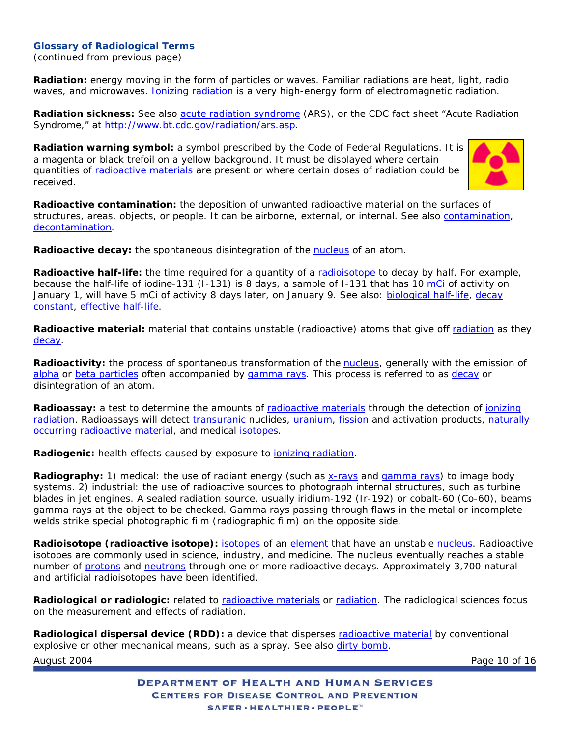<span id="page-9-0"></span>(continued from previous page)

**Radiation:** energy moving in the form of particles or waves. Familiar radiations are heat, light, radio waves, and microwaves. *Ionizing radiation* is a very high-energy form of electromagnetic radiation.

**Radiation sickness:** *See also* [acute radiation syndrome](#page-0-0) (ARS), *or the CDC fact sheet* "Acute Radiation Syndrome," *at* <http://www.bt.cdc.gov/radiation/ars.asp>.

**Radiation warning symbol:** a symbol prescribed by the Code of Federal Regulations. It is a magenta or black trefoil on a yellow background. It must be displayed where certain quantities of [radioactive materials](#page-9-0) are present or where certain doses of radiation could be received.



**Radioactive contamination:** the deposition of unwanted radioactive material on the surfaces of structures, areas, objects, or people. It can be airborne, external, or internal. *See also* [contamination](#page-2-0), [decontamination.](#page-3-0)

**Radioactive decay:** the spontaneous disintegration of the [nucleus](#page-7-0) of an atom.

**Radioactive half-life:** the time required for a quantity of a [radioisotope](#page-9-0) to decay by half. For example, because the half-life of iodine-131 (I-131) is 8 days, a sample of I-131 that has 10 [mCi](#page-2-0) of activity on January 1, will have 5 mCi of activity 8 days later, on January 9. *See also:* [biological half-life,](#page-1-0) [decay](#page-2-0)  [constant](#page-2-0), [effective half-life](#page-4-0).

**Radioactive material:** material that contains unstable (radioactive) atoms that give off [radiation](#page-9-0) as they [decay](#page-3-0).

**Radioactivity:** the process of spontaneous transformation of the [nucleus](#page-7-0), generally with the emission of [alpha](#page-0-0) or [beta particles](#page-1-0) often accompanied by [gamma rays.](#page-5-0) This process is referred to as [decay](#page-3-0) or disintegration of an atom.

**Radioassay:** a test to determine the amounts of [radioactive materials](#page-9-0) through the detection of *ionizing* [radiation](#page-6-0). Radioassays will detect [transuranic](#page-11-0) nuclides, [uranium](#page-12-0), [fission](#page-4-0) and activation products, [naturally](#page-3-0) [occurring radioactive material](#page-3-0), and medical [isotopes.](#page-6-0)

**Radiogenic:** health effects caused by exposure to **jonizing radiation**.

**Radiography:** 1) *medical:* the use of radiant energy (such as [x-rays](#page-12-0) and [gamma rays\)](#page-5-0) to image body systems. 2) *industrial:* the use of radioactive sources to photograph internal structures, such as turbine blades in jet engines. A sealed radiation source, usually iridium-192 (Ir-192) or cobalt-60 (Co-60), beams gamma rays at the object to be checked. Gamma rays passing through flaws in the metal or incomplete welds strike special photographic film (radiographic film) on the opposite side.

**Radioisotope (radioactive isotope):** [isotopes](#page-6-0) of an [element](#page-4-0) that have an unstable [nucleus.](#page-7-0) Radioactive isotopes are commonly used in science, industry, and medicine. The nucleus eventually reaches a stable number of [protons](#page-8-0) and [neutrons](#page-7-0) through one or more radioactive decays. Approximately 3,700 natural and artificial radioisotopes have been identified.

**Radiological or radiologic:** related to [radioactive materials](#page-9-0) or [radiation](#page-9-0). The radiological sciences focus on the measurement and effects of radiation.

**Radiological dispersal device (RDD):** a device that disperses [radioactive material](#page-9-0) by conventional explosive or other mechanical means, such as a spray. *See also* [dirty bomb.](#page-3-0)

August 2004 Page 10 of 16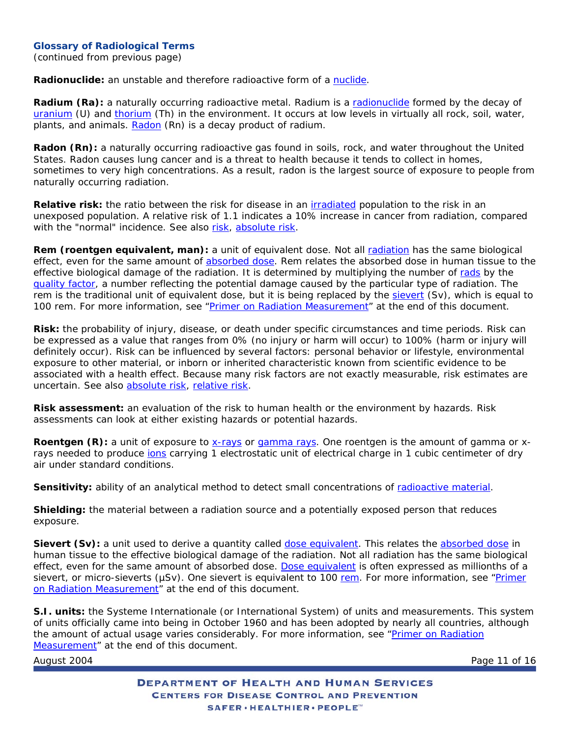<span id="page-10-0"></span>(continued from previous page)

**Radionuclide:** an unstable and therefore radioactive form of a [nuclide.](#page-7-0)

**Radium (Ra):** a naturally occurring radioactive metal. Radium is a [radionuclide](#page-10-0) formed by the decay of [uranium](#page-12-0) (U) and [thorium](#page-11-0) (Th) in the environment. It occurs at low levels in virtually all rock, soil, water, plants, and animals. [Radon](#page-10-0) (Rn) is a decay product of radium.

**Radon (Rn):** a naturally occurring radioactive gas found in soils, rock, and water throughout the United States. Radon causes lung cancer and is a threat to health because it tends to collect in homes, sometimes to very high concentrations. As a result, radon is the largest source of exposure to people from naturally occurring radiation.

**Relative risk:** the ratio between the risk for disease in an *irradiated* population to the risk in an unexposed population. A relative risk of 1.1 indicates a 10% increase in cancer from radiation, compared with the "normal" incidence. *See also* [risk](#page-10-0), [absolute risk](#page-0-0).

**Rem (roentgen equivalent, man):** a unit of equivalent dose. Not all [radiation](#page-9-0) has the same biological effect, even for the same amount of [absorbed dose.](#page-0-0) Rem relates the absorbed dose in human tissue to the effective biological damage of the radiation. It is determined by multiplying the number of [rads](#page-8-0) by the [quality factor](#page-8-0), a number reflecting the potential damage caused by the particular type of radiation. The rem is the traditional unit of equivalent dose, but it is being replaced by the [sievert](#page-10-0) (Sv), which is equal to 100 rem. *For more information, see* "[Primer on Radiation Measurement](#page-13-0)" *at the end of this document*.

**Risk:** the probability of injury, disease, or death under specific circumstances and time periods. Risk can be expressed as a value that ranges from 0% (no injury or harm will occur) to 100% (harm or injury will definitely occur). Risk can be influenced by several factors: personal behavior or lifestyle, environmental exposure to other material, or inborn or inherited characteristic known from scientific evidence to be associated with a health effect. Because many risk factors are not exactly measurable, risk estimates are uncertain. *See also* [absolute risk](#page-0-0), [relative risk.](#page-10-0)

**Risk assessment:** an evaluation of the risk to human health or the environment by hazards. Risk assessments can look at either existing hazards or potential hazards.

**Roentgen (R):** a unit of exposure to [x-rays](#page-12-0) or [gamma rays.](#page-5-0) One roentgen is the amount of gamma or xrays needed to produce jons carrying 1 electrostatic unit of electrical charge in 1 cubic centimeter of dry air under standard conditions.

**Sensitivity:** ability of an analytical method to detect small concentrations of [radioactive material.](#page-9-0)

**Shielding:** the material between a radiation source and a potentially exposed person that reduces exposure.

**Sievert (Sv):** a unit used to derive a quantity called [dose equivalent.](#page-3-0) This relates the [absorbed dose](#page-0-0) in human tissue to the effective biological damage of the radiation. Not all radiation has the same biological effect, even for the same amount of absorbed dose. [Dose equivalent](#page-3-0) is often expressed as millionths of a sievert, or micro-sieverts (µSv). One sievert is equivalent to 100 [rem.](#page-10-0) For more information, see "Primer [on Radiation Measurement"](#page-13-0) *at the end of this document*.

**S.I. units:** the Systeme Internationale (or International System) of units and measurements. This system of units officially came into being in October 1960 and has been adopted by nearly all countries, although the amount of actual usage varies considerably. *For more information, see* "[Primer on Radiation](#page-13-0) [Measurement](#page-13-0)" *at the end of this document*.

August 2004 **Page 11 of 16**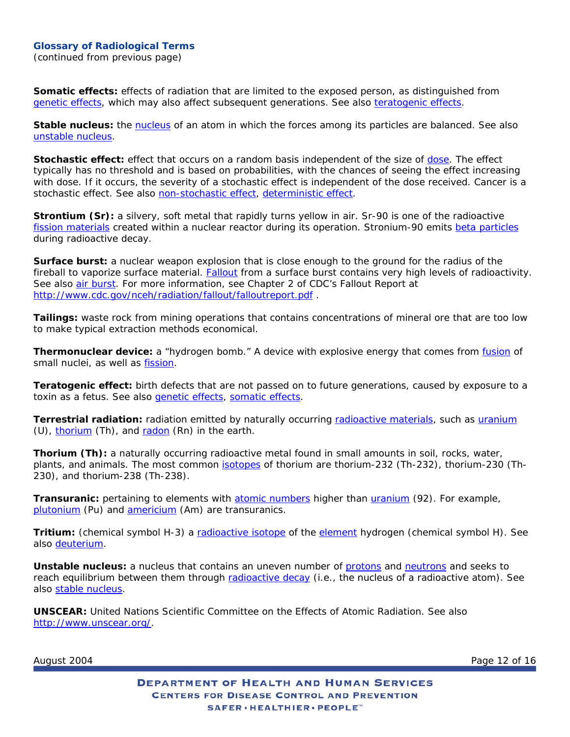<span id="page-11-0"></span>(continued from previous page)

**Somatic effects:** effects of radiation that are limited to the exposed person, as distinguished from [genetic effects](#page-5-0), which may also affect subsequent generations. *See also* [teratogenic effects.](#page-11-0)

**Stable nucleus:** the [nucleus](#page-7-0) of an atom in which the forces among its particles are balanced. *See also* [unstable nucleus](#page-11-0).

**Stochastic effect:** effect that occurs on a random basis independent of the size of [dose.](#page-3-0) The effect typically has no threshold and is based on probabilities, with the chances of seeing the effect increasing with dose. If it occurs, the severity of a stochastic effect is independent of the dose received. Cancer is a stochastic effect. *See also* [non-stochastic effect](#page-7-0), [deterministic effect.](#page-3-0)

**Strontium (Sr):** a silvery, soft metal that rapidly turns yellow in air. Sr-90 is one of the radioactive [fission materials](#page-4-0) created within a nuclear reactor during its operation. Stronium-90 emits [beta particles](#page-1-0) during radioactive decay.

**Surface burst:** a nuclear weapon explosion that is close enough to the ground for the radius of the fireball to vaporize surface material. [Fallout](#page-4-0) from a surface burst contains very high levels of radioactivity. *See also* [air burst](#page-0-0). *For more information, see Chapter 2 of CDC's Fallout Report at*  <http://www.cdc.gov/nceh/radiation/fallout/falloutreport.pdf> .

**Tailings:** waste rock from mining operations that contains concentrations of mineral ore that are too low to make typical extraction methods economical.

**Thermonuclear device:** a "hydrogen bomb." A device with explosive energy that comes from [fusion](#page-5-0) of small nuclei, as well as [fission.](#page-4-0)

**Teratogenic effect:** birth defects that are not passed on to future generations, caused by exposure to a toxin as a fetus. *See also* [genetic effects,](#page-5-0) [somatic effects.](#page-11-0)

**Terrestrial radiation:** radiation emitted by naturally occurring [radioactive materials](#page-9-0), such as [uranium](#page-12-0) (U), [thorium](#page-11-0) (Th), and [radon](#page-10-0) (Rn) in the earth.

**Thorium (Th):** a naturally occurring radioactive metal found in small amounts in soil, rocks, water, plants, and animals. The most common [isotopes](#page-6-0) of thorium are thorium-232 (Th-232), thorium-230 (Th-230), and thorium-238 (Th-238).

**Transuranic:** pertaining to elements with [atomic numbers](#page-0-0) higher than [uranium](#page-12-0) (92). For example, [plutonium](#page-8-0) (Pu) and [americium](#page-0-0) (Am) are transuranics.

**Tritium:** (chemical symbol H-3) a [radioactive isotope](#page-9-0) of the [element](#page-4-0) hydrogen (chemical symbol H). *See also* [deuterium](#page-3-0).

**Unstable nucleus:** a nucleus that contains an uneven number of [protons](#page-8-0) and [neutrons](#page-7-0) and seeks to reach equilibrium between them through [radioactive decay](#page-3-0) (i.e., the nucleus of a radioactive atom). See *also* [stable nucleus](#page-11-0).

**UNSCEAR:** United Nations Scientific Committee on the Effects of Atomic Radiation. *See also* <http://www.unscear.org/>.

August 2004 **Page 12 of 16**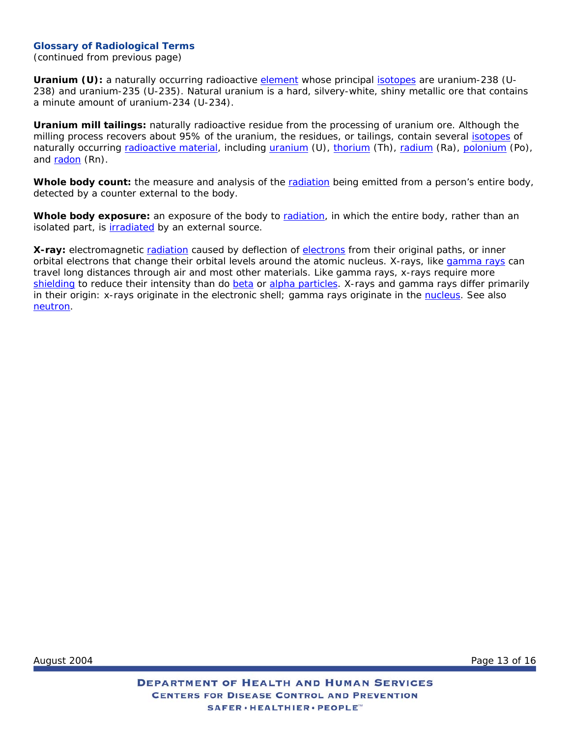<span id="page-12-0"></span>(continued from previous page)

**Uranium (U):** a naturally occurring radioactive [element](#page-4-0) whose principal [isotopes](#page-6-0) are uranium-238 (U-238) and uranium-235 (U-235). Natural uranium is a hard, silvery-white, shiny metallic ore that contains a minute amount of uranium-234 (U-234).

**Uranium mill tailings:** naturally radioactive residue from the processing of uranium ore. Although the milling process recovers about 95% of the uranium, the residues, or tailings, contain several [isotopes](#page-6-0) of naturally occurring [radioactive material,](#page-9-0) including [uranium](#page-12-0) (U), [thorium](#page-11-0) (Th), [radium](#page-10-0) (Ra), [polonium](#page-8-0) (Po), and [radon](#page-10-0) (Rn).

**Whole body count:** the measure and analysis of the [radiation](#page-9-0) being emitted from a person's entire body, detected by a counter external to the body.

**Whole body exposure:** an exposure of the body to [radiation,](#page-9-0) in which the entire body, rather than an isolated part, is [irradiated](#page-6-0) by an external source.

**X-ray:** electromagnetic [radiation](#page-9-0) caused by deflection of [electrons](#page-4-0) from their original paths, or inner orbital electrons that change their orbital levels around the atomic nucleus. X-rays, like *gamma rays* can travel long distances through air and most other materials. Like gamma rays, x-rays require more [shielding](#page-10-0) to reduce their intensity than do [beta](#page-1-0) or [alpha particles.](#page-0-0) X-rays and gamma rays differ primarily in their origin: x-rays originate in the electronic shell; gamma rays originate in the [nucleus.](#page-7-0) *See also*  [neutron](#page-7-0).

August 2004 Page 13 of 16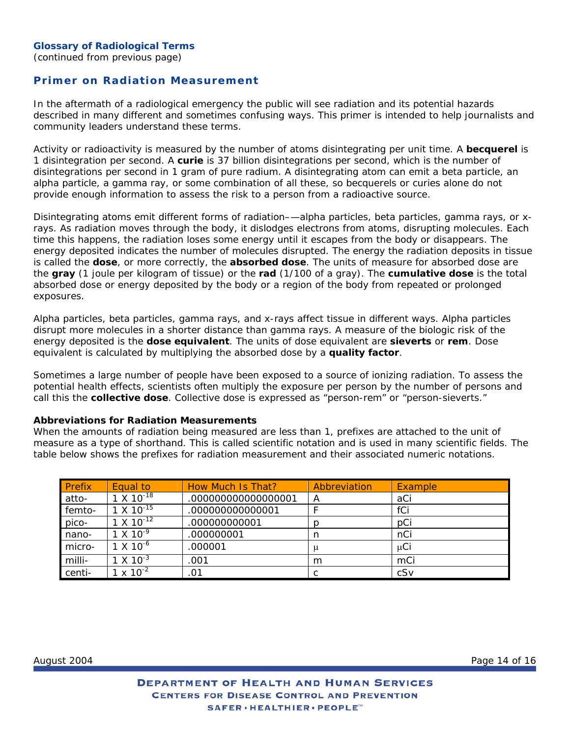# <span id="page-13-0"></span>**Primer on Radiation Measurement**

In the aftermath of a radiological emergency the public will see radiation and its potential hazards described in many different and sometimes confusing ways. This primer is intended to help journalists and community leaders understand these terms.

Activity or radioactivity is measured by the number of atoms disintegrating per unit time. A *becquerel* is 1 disintegration per second. A *curie* is 37 billion disintegrations per second, which is the number of disintegrations per second in 1 gram of pure radium. A disintegrating atom can emit a beta particle, an alpha particle, a gamma ray, or some combination of all these, so becquerels or curies alone do not provide enough information to assess the risk to a person from a radioactive source.

Disintegrating atoms emit different forms of radiation–—alpha particles, beta particles, gamma rays, or xrays. As radiation moves through the body, it dislodges electrons from atoms, disrupting molecules. Each time this happens, the radiation loses some energy until it escapes from the body or disappears. The energy deposited indicates the number of molecules disrupted. The energy the radiation deposits in tissue is called the *dose*, or more correctly, the *absorbed dose*. The units of measure for absorbed dose are the *gray* (1 joule per kilogram of tissue) or the *rad* (1/100 of a gray*).* The *cumulative dose* is the total absorbed dose or energy deposited by the body or a region of the body from repeated or prolonged exposures.

Alpha particles, beta particles, gamma rays, and x-rays affect tissue in different ways. Alpha particles disrupt more molecules in a shorter distance than gamma rays. A measure of the biologic risk of the energy deposited is the *dose equivalent.* The units of dose equivalent are *sieverts* or *rem.* Dose equivalent is calculated by multiplying the absorbed dose by a *quality factor.* 

Sometimes a large number of people have been exposed to a source of ionizing radiation. To assess the potential health effects, scientists often multiply the exposure per person by the number of persons and call this the *collective dose*. Collective dose is expressed as "person-rem" or "person-sieverts."

#### **Abbreviations for Radiation Measurements**

When the amounts of radiation being measured are less than 1, prefixes are attached to the unit of measure as a type of shorthand. This is called scientific notation and is used in many scientific fields. The table below shows the prefixes for radiation measurement and their associated numeric notations.

| <b>Prefix</b> | Equal to            | How Much Is That?  | Abbreviation | Example  |
|---------------|---------------------|--------------------|--------------|----------|
| atto-         | $1 \times 10^{-18}$ | .00000000000000001 | A            | aCi      |
| femto-        | $1 \times 10^{-15}$ | .00000000000001    |              | fCi      |
| pico-         | $1 \times 10^{-12}$ | .00000000001       | р            | pCi      |
| nano-         | $1 \times 10^{-9}$  | .000000001         | n            | nCi      |
| micro-        | $1 \times 10^{-6}$  | .000001            | μ            | $\mu$ Ci |
| milli-        | $1 \times 10^{-3}$  | .001               | m            | mCi      |
| centi-        | $1 \times 10^{-2}$  | .01                |              | cSv      |

August 2004 Page 14 of 16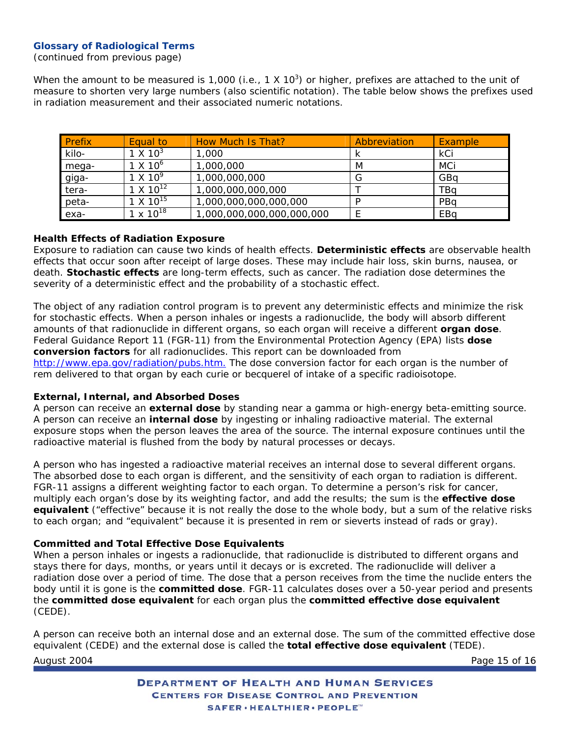(continued from previous page)

When the amount to be measured is 1,000 (i.e., 1 X 10<sup>3</sup>) or higher, prefixes are attached to the unit of measure to shorten very large numbers (also scientific notation). The table below shows the prefixes used in radiation measurement and their associated numeric notations.

| Prefix | Equal to           | How Much Is That?         | Abbreviation | Example |
|--------|--------------------|---------------------------|--------------|---------|
| kilo-  | $1 \times 10^3$    | 1,000                     |              | kCi     |
| mega-  | $1 \times 10^{6}$  | 1,000,000                 | M            | MCi     |
| giga-  | $1 \times 10^9$    | 1,000,000,000             | G            | GBa     |
| tera-  | $1 \times 10^{12}$ | 1,000,000,000,000         |              | TBa     |
| peta-  | $1 \times 10^{15}$ | 1,000,000,000,000,000     | D            | PBa     |
| exa-   | $1 \times 10^{18}$ | 1,000,000,000,000,000,000 |              | EBa     |

### **Health Effects of Radiation Exposure**

Exposure to radiation can cause two kinds of health effects. *Deterministic effects* are observable health effects that occur soon after receipt of large doses. These may include hair loss, skin burns, nausea, or death. *Stochastic effects* are long-term effects, such as cancer. The radiation dose determines the severity of a deterministic effect and the probability of a stochastic effect.

The object of any radiation control program is to prevent any deterministic effects and minimize the risk for stochastic effects. When a person inhales or ingests a radionuclide, the body will absorb different amounts of that radionuclide in different organs, so each organ will receive a different *organ dose*. Federal Guidance Report 11 (FGR-11) from the Environmental Protection Agency (EPA) lists *dose conversion factors* for all radionuclides. This report can be downloaded from [http://www.epa.gov/radiation/pubs.htm.](http://www.epa.gov/radiation/pubs.htm) The dose conversion factor for each organ is the number of rem delivered to that organ by each curie or becquerel of intake of a specific radioisotope.

### **External, Internal, and Absorbed Doses**

A person can receive an *external dose* by standing near a gamma or high-energy beta-emitting source. A person can receive an *internal dose* by ingesting or inhaling radioactive material. The external exposure stops when the person leaves the area of the source. The internal exposure continues until the radioactive material is flushed from the body by natural processes or decays.

A person who has ingested a radioactive material receives an internal dose to several different organs. The absorbed dose to each organ is different, and the sensitivity of each organ to radiation is different. FGR-11 assigns a different weighting factor to each organ. To determine a person's risk for cancer, multiply each organ's dose by its weighting factor, and add the results; the sum is the *effective dose equivalent* ("effective" because it is not really the dose to the whole body, but a sum of the relative risks to each organ; and "equivalent" because it is presented in rem or sieverts instead of rads or gray)*.*

### **Committed and Total Effective Dose Equivalents**

When a person inhales or ingests a radionuclide, that radionuclide is distributed to different organs and stays there for days, months, or years until it decays or is excreted. The radionuclide will deliver a radiation dose over a period of time. The dose that a person receives from the time the nuclide enters the body until it is gone is the *committed dose*. FGR-11 calculates doses over a 50-year period and presents the *committed dose equivalent* for each organ plus the *committed effective dose equivalent* (CEDE).

August 2004 Page 15 of 16 A person can receive both an internal dose and an external dose. The sum of the committed effective dose equivalent (CEDE) and the external dose is called the *total effective dose equivalent* (TEDE).